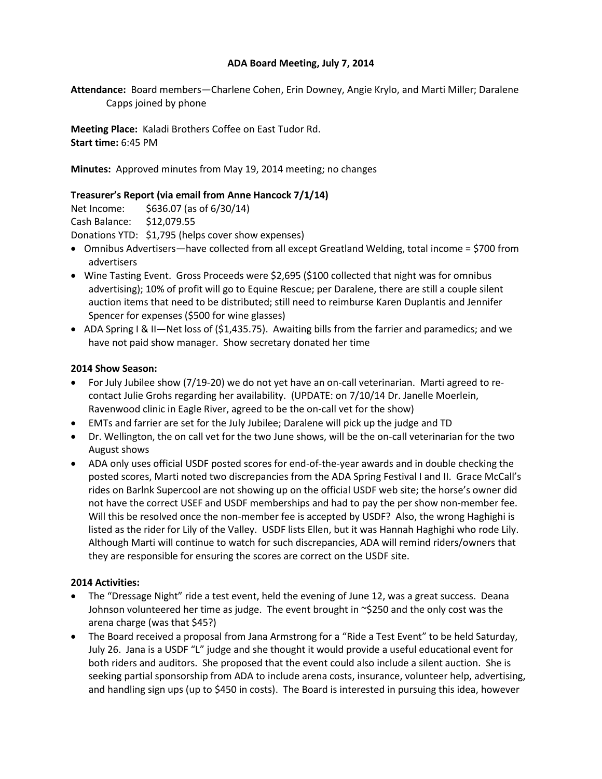## **ADA Board Meeting, July 7, 2014**

**Attendance:** Board members—Charlene Cohen, Erin Downey, Angie Krylo, and Marti Miller; Daralene Capps joined by phone

**Meeting Place:** Kaladi Brothers Coffee on East Tudor Rd. **Start time:** 6:45 PM

**Minutes:** Approved minutes from May 19, 2014 meeting; no changes

## **Treasurer's Report (via email from Anne Hancock 7/1/14)**

Net Income: \$636.07 (as of 6/30/14) Cash Balance: \$12,079.55 Donations YTD: \$1,795 (helps cover show expenses)

- Omnibus Advertisers—have collected from all except Greatland Welding, total income = \$700 from advertisers
- Wine Tasting Event. Gross Proceeds were \$2,695 (\$100 collected that night was for omnibus advertising); 10% of profit will go to Equine Rescue; per Daralene, there are still a couple silent auction items that need to be distributed; still need to reimburse Karen Duplantis and Jennifer Spencer for expenses (\$500 for wine glasses)
- ADA Spring I & II—Net loss of (\$1,435.75). Awaiting bills from the farrier and paramedics; and we have not paid show manager. Show secretary donated her time

## **2014 Show Season:**

- For July Jubilee show (7/19-20) we do not yet have an on-call veterinarian. Marti agreed to recontact Julie Grohs regarding her availability. (UPDATE: on 7/10/14 Dr. Janelle Moerlein, Ravenwood clinic in Eagle River, agreed to be the on-call vet for the show)
- EMTs and farrier are set for the July Jubilee; Daralene will pick up the judge and TD
- Dr. Wellington, the on call vet for the two June shows, will be the on-call veterinarian for the two August shows
- ADA only uses official USDF posted scores for end-of-the-year awards and in double checking the posted scores, Marti noted two discrepancies from the ADA Spring Festival I and II. Grace McCall's rides on Barlnk Supercool are not showing up on the official USDF web site; the horse's owner did not have the correct USEF and USDF memberships and had to pay the per show non-member fee. Will this be resolved once the non-member fee is accepted by USDF? Also, the wrong Haghighi is listed as the rider for Lily of the Valley. USDF lists Ellen, but it was Hannah Haghighi who rode Lily. Although Marti will continue to watch for such discrepancies, ADA will remind riders/owners that they are responsible for ensuring the scores are correct on the USDF site.

## **2014 Activities:**

- The "Dressage Night" ride a test event, held the evening of June 12, was a great success. Deana Johnson volunteered her time as judge. The event brought in ~\$250 and the only cost was the arena charge (was that \$45?)
- The Board received a proposal from Jana Armstrong for a "Ride a Test Event" to be held Saturday, July 26. Jana is a USDF "L" judge and she thought it would provide a useful educational event for both riders and auditors. She proposed that the event could also include a silent auction. She is seeking partial sponsorship from ADA to include arena costs, insurance, volunteer help, advertising, and handling sign ups (up to \$450 in costs). The Board is interested in pursuing this idea, however